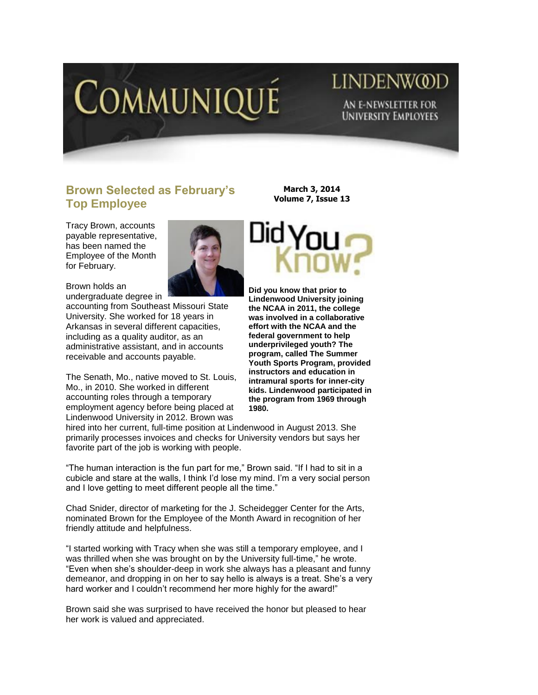

## LINDENW@D AN E-NEWSLETTER FOR **UNIVERSITY EMPLOYEES**

## **Brown Selected as February's Top Employee**

Tracy Brown, accounts payable representative, has been named the Employee of the Month for February.



Brown holds an undergraduate degree in

accounting from Southeast Missouri State University. She worked for 18 years in Arkansas in several different capacities, including as a quality auditor, as an administrative assistant, and in accounts receivable and accounts payable.

The Senath, Mo., native moved to St. Louis, Mo., in 2010. She worked in different accounting roles through a temporary employment agency before being placed at Lindenwood University in 2012. Brown was

**March 3, 2014 Volume 7, Issue 13**



**Did you know that prior to Lindenwood University joining the NCAA in 2011, the college was involved in a collaborative effort with the NCAA and the federal government to help underprivileged youth? The program, called The Summer Youth Sports Program, provided instructors and education in intramural sports for inner-city kids. Lindenwood participated in the program from 1969 through 1980.** 

hired into her current, full-time position at Lindenwood in August 2013. She primarily processes invoices and checks for University vendors but says her favorite part of the job is working with people.

"The human interaction is the fun part for me," Brown said. "If I had to sit in a cubicle and stare at the walls, I think I"d lose my mind. I"m a very social person and I love getting to meet different people all the time."

Chad Snider, director of marketing for the J. Scheidegger Center for the Arts, nominated Brown for the Employee of the Month Award in recognition of her friendly attitude and helpfulness.

"I started working with Tracy when she was still a temporary employee, and I was thrilled when she was brought on by the University full-time," he wrote. "Even when she"s shoulder-deep in work she always has a pleasant and funny demeanor, and dropping in on her to say hello is always is a treat. She"s a very hard worker and I couldn't recommend her more highly for the award!"

Brown said she was surprised to have received the honor but pleased to hear her work is valued and appreciated.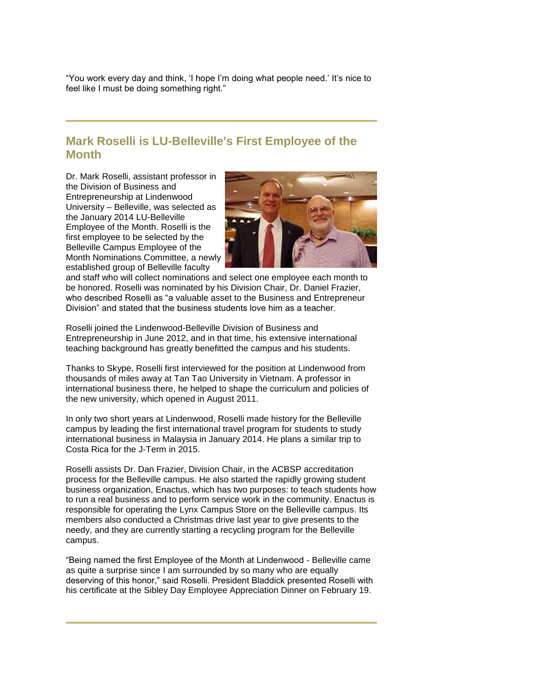"You work every day and think, "I hope I"m doing what people need." It"s nice to feel like I must be doing something right."

## **Mark Roselli is LU-Belleville's First Employee of the Month**

Dr. Mark Roselli, assistant professor in the Division of Business and Entrepreneurship at Lindenwood University – Belleville, was selected as the January 2014 LU-Belleville Employee of the Month. Roselli is the first employee to be selected by the Belleville Campus Employee of the Month Nominations Committee, a newly established group of Belleville faculty



and staff who will collect nominations and select one employee each month to be honored. Roselli was nominated by his Division Chair, Dr. Daniel Frazier, who described Roselli as "a valuable asset to the Business and Entrepreneur Division" and stated that the business students love him as a teacher.

Roselli joined the Lindenwood-Belleville Division of Business and Entrepreneurship in June 2012, and in that time, his extensive international teaching background has greatly benefitted the campus and his students.

Thanks to Skype, Roselli first interviewed for the position at Lindenwood from thousands of miles away at Tan Tao University in Vietnam. A professor in international business there, he helped to shape the curriculum and policies of the new university, which opened in August 2011.

In only two short years at Lindenwood, Roselli made history for the Belleville campus by leading the first international travel program for students to study international business in Malaysia in January 2014. He plans a similar trip to Costa Rica for the J-Term in 2015.

Roselli assists Dr. Dan Frazier, Division Chair, in the ACBSP accreditation process for the Belleville campus. He also started the rapidly growing student business organization, Enactus, which has two purposes: to teach students how to run a real business and to perform service work in the community. Enactus is responsible for operating the Lynx Campus Store on the Belleville campus. Its members also conducted a Christmas drive last year to give presents to the needy, and they are currently starting a recycling program for the Belleville campus.

"Being named the first Employee of the Month at Lindenwood - Belleville came as quite a surprise since I am surrounded by so many who are equally deserving of this honor," said Roselli. President Bladdick presented Roselli with his certificate at the Sibley Day Employee Appreciation Dinner on February 19.